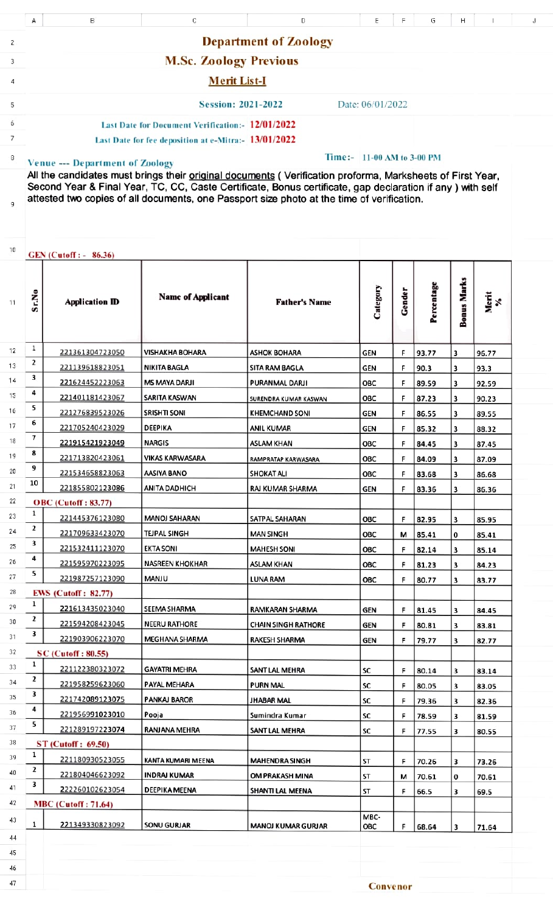|          | А                                                                                                                                                                                                                                                                                                                                                                                             | в                                  | С                        | D                            | Ε           | F      | G              |                    |                | J |
|----------|-----------------------------------------------------------------------------------------------------------------------------------------------------------------------------------------------------------------------------------------------------------------------------------------------------------------------------------------------------------------------------------------------|------------------------------------|--------------------------|------------------------------|-------------|--------|----------------|--------------------|----------------|---|
|          |                                                                                                                                                                                                                                                                                                                                                                                               |                                    |                          |                              |             |        |                |                    |                |   |
| 2        | <b>Department of Zoology</b>                                                                                                                                                                                                                                                                                                                                                                  |                                    |                          |                              |             |        |                |                    |                |   |
| 3        | <b>M.Sc. Zoology Previous</b>                                                                                                                                                                                                                                                                                                                                                                 |                                    |                          |                              |             |        |                |                    |                |   |
| 4        |                                                                                                                                                                                                                                                                                                                                                                                               |                                    | <b>Merit List-I</b>      |                              |             |        |                |                    |                |   |
| 5        | <b>Session: 2021-2022</b><br>Date: 06/01/2022                                                                                                                                                                                                                                                                                                                                                 |                                    |                          |                              |             |        |                |                    |                |   |
| 6        |                                                                                                                                                                                                                                                                                                                                                                                               |                                    |                          |                              |             |        |                |                    |                |   |
| 7        | Last Date for Document Verification: 12/01/2022                                                                                                                                                                                                                                                                                                                                               |                                    |                          |                              |             |        |                |                    |                |   |
|          | Last Date for fee deposition at e-Mitra:- 13/01/2022                                                                                                                                                                                                                                                                                                                                          |                                    |                          |                              |             |        |                |                    |                |   |
| 8<br>9   | Time:- 11-00 AM to 3-00 PM<br><b>Venue --- Department of Zoology</b><br>All the candidates must brings their original documents (Verification proforma, Marksheets of First Year,<br>Second Year & Final Year, TC, CC, Caste Certificate, Bonus certificate, gap declaration if any ) with self<br>attested two copies of all documents, one Passport size photo at the time of verification. |                                    |                          |                              |             |        |                |                    |                |   |
| 10       | GEN (Cutoff : - 86.36)                                                                                                                                                                                                                                                                                                                                                                        |                                    |                          |                              |             |        |                |                    |                |   |
| 11       | Sr.No                                                                                                                                                                                                                                                                                                                                                                                         | <b>Application ID</b>              | <b>Name of Applicant</b> | <b>Father's Name</b>         | Category    | Gender | Percentage     | <b>Bonus Marks</b> | Merit<br>%     |   |
| 12       | 1                                                                                                                                                                                                                                                                                                                                                                                             | 221361304723050                    | <b>VISHAKHA BOHARA</b>   | <b>ASHOK BOHARA</b>          | GEN         | F      | 93.77          | 3                  | 96.77          |   |
| 13       | 2                                                                                                                                                                                                                                                                                                                                                                                             | 221139618823051                    | NIKITA BAGLA             | SITA RAM BAGLA               | GEN         | F      | 90.3           | 3                  | 93.3           |   |
| 14       | 3                                                                                                                                                                                                                                                                                                                                                                                             | 221624452223063                    | <b>MS MAYA DARJI</b>     | PURANMAL DARJI               | OBC         | F      | 89.59          | 3                  | 92.59          |   |
| 15       | 4                                                                                                                                                                                                                                                                                                                                                                                             | 221401181423067                    | SARITA KASWAN            | <b>SURENDRA KUMAR KASWAN</b> | OBC         | F      | 87.23          | 3                  | 90.23          |   |
| 16       | 5                                                                                                                                                                                                                                                                                                                                                                                             | 221276839523026                    | <b>SRISHTI SONI</b>      | <b>KHEMCHAND SONI</b>        | GEN         | F      | 86.55          | 3                  | 89.55          |   |
| 17       | 6                                                                                                                                                                                                                                                                                                                                                                                             | 221705240423029                    | DEEPIKA                  | ANIL KUMAR                   | <b>GEN</b>  | F      | 85.32          | 3                  | 88.32          |   |
| 18       | 7                                                                                                                                                                                                                                                                                                                                                                                             | 221915421923049                    | <b>NARGIS</b>            | ASLAM KHAN                   | OBC         | F      | 84.45          | з                  | 87.45          |   |
| 19       | 8<br>9                                                                                                                                                                                                                                                                                                                                                                                        | 221713820423061                    | <b>VIKAS KARWASARA</b>   | RAMPRATAP KARWASARA          | ОВС         | F      | 84.09          | 3                  | 87.09          |   |
| 20       | 10                                                                                                                                                                                                                                                                                                                                                                                            | 221534658823063                    | AASIYA BANO              | <b>SHOKAT ALI</b>            | OBC         | F      | 83.68          | 3                  | 86.68          |   |
| 21       |                                                                                                                                                                                                                                                                                                                                                                                               | 221855802123086                    | <b>ANITA DADHICH</b>     | RAJ KUMAR SHARMA             | <b>GEN</b>  | F      | 83.36          | 3                  | 86.36          |   |
| 22       | 1                                                                                                                                                                                                                                                                                                                                                                                             | <b>OBC</b> (Cutoff: 83.77)         |                          |                              |             |        |                |                    |                |   |
| 23       | 2                                                                                                                                                                                                                                                                                                                                                                                             | 221445376123080                    | <b>MANOJ SAHARAN</b>     | SATPAL SAHARAN               | OBC         | F      | 82.95          | 3                  | 85.95          |   |
| 24<br>25 | 3                                                                                                                                                                                                                                                                                                                                                                                             | 221709633423070                    | TEJPAL SINGH             | <b>MAN SINGH</b>             | OBC         | М      | 85.41          | 0                  | 85.41          |   |
|          | 4                                                                                                                                                                                                                                                                                                                                                                                             | 221532411123070                    | EKTA SONI                | <b>MAHESH SONI</b>           | ОВС         | F      | 82.14          | 3                  | 85.14          |   |
| 26<br>27 | 5                                                                                                                                                                                                                                                                                                                                                                                             | 221595970223095                    | NASREEN KHOKHAR          | ASLAM KHAN                   | OBC         | F      | 81.23          | 3                  | 84.23          |   |
|          |                                                                                                                                                                                                                                                                                                                                                                                               | 221987257123090                    | MANJU                    | LUNA RAM                     | ОВС         | F      | 80.77          | 3                  | 83.77          |   |
| 28<br>29 | 1                                                                                                                                                                                                                                                                                                                                                                                             | <b>EWS</b> (Cutoff: 82.77)         |                          |                              |             |        |                |                    |                |   |
| 30       | 2                                                                                                                                                                                                                                                                                                                                                                                             | 221613435023040                    | SEEMA SHARMA             | RAMKARAN SHARMA              | GEN         | F      | 81.45          | 3                  | 84.45          |   |
| 31       | 3                                                                                                                                                                                                                                                                                                                                                                                             | 221594208423045<br>221903906223070 | NEERU RATHORE            | <b>CHAIN SINGH RATHORE</b>   | GEN         | F      | 80.81          | з                  | 83.81          |   |
| 32       |                                                                                                                                                                                                                                                                                                                                                                                               | <b>SC</b> (Cutoff: 80.55)          | MEGHANA SHARMA           | RAKESH SHARMA                | GEN         | F      | 79.77          | 3                  | 82.77          |   |
| 33       | 1                                                                                                                                                                                                                                                                                                                                                                                             | 221122380323072                    | <b>GAYATRI MEHRA</b>     | SANT LAL MEHRA               | SC          | F      |                |                    |                |   |
| 34       | 2                                                                                                                                                                                                                                                                                                                                                                                             | 221958259623060                    | PAYAL MEHARA             | PURN MAL                     | SC          | F      | 80.14          | 3                  | 83.14          |   |
| 35       | 3                                                                                                                                                                                                                                                                                                                                                                                             | 221742089123075                    | PANKAJ BAROR             | JHABAR MAL                   | SC          | F      | 80.05<br>79.36 | 3<br>з             | 83.05<br>82.36 |   |
| 36       | 4                                                                                                                                                                                                                                                                                                                                                                                             | 221956991023010                    | Pooja                    | Sumindra Kumar               | SC          | F      | 78.59          | 3                  | 81.59          |   |
| 37       | 5                                                                                                                                                                                                                                                                                                                                                                                             | 221289197223074                    | RANJANA MEHRA            | SANT LAL MEHRA               | SC          | F      | 77.55          | з                  | 80.55          |   |
| 38       |                                                                                                                                                                                                                                                                                                                                                                                               | <b>ST</b> (Cutoff: 69.50)          |                          |                              |             |        |                |                    |                |   |
| 39       | 1                                                                                                                                                                                                                                                                                                                                                                                             | 221180930523055                    | KANTA KUMARI MEENA       | <b>MAHENDRA SINGH</b>        | ST          | F      | 70.26          | з                  | 73.26          |   |
| 40       | 2                                                                                                                                                                                                                                                                                                                                                                                             | 221804046623092                    | <b>INDRAJ KUMAR</b>      | OM PRAKASH MINA              | ST          | м      | 70.61          | 0                  | 70.61          |   |
| 41       | 3                                                                                                                                                                                                                                                                                                                                                                                             | 222260102623054                    | DEEPIKA MEENA            | SHANTI LAL MEENA             | ST          | F      | 66.5           | 3                  | 69.5           |   |
| 42       |                                                                                                                                                                                                                                                                                                                                                                                               | <b>MBC</b> (Cutoff: 71.64)         |                          |                              |             |        |                |                    |                |   |
| 43       | 1                                                                                                                                                                                                                                                                                                                                                                                             | 221349330823092                    | <b>SONU GURJAR</b>       | <b>MANOJ KUMAR GURJAR</b>    | MBC-<br>ОВС | F      | 68.64          | 3                  | 71.64          |   |
|          |                                                                                                                                                                                                                                                                                                                                                                                               |                                    |                          |                              |             |        |                |                    |                |   |
| 44       |                                                                                                                                                                                                                                                                                                                                                                                               |                                    |                          |                              |             |        |                |                    |                |   |
| 45       |                                                                                                                                                                                                                                                                                                                                                                                               |                                    |                          |                              |             |        |                |                    |                |   |
| 46       |                                                                                                                                                                                                                                                                                                                                                                                               |                                    |                          |                              |             |        |                |                    |                |   |